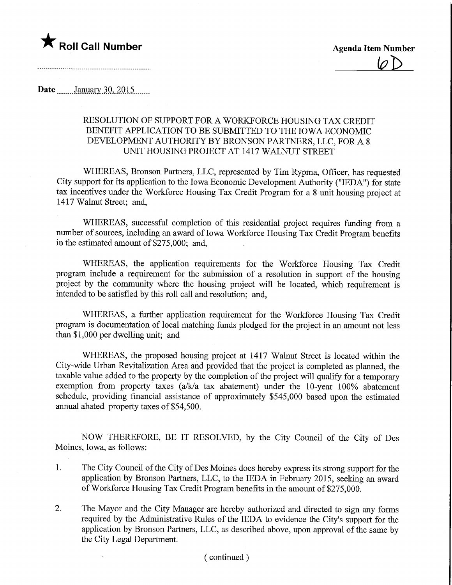

## Date.... January 30, 2015

## RESOLUTION OF SUPPORT FOR A WORKFORCE HOUSING TAX CREDIT BENEFIT APPLICATION TO BE SUBMITTED TO THE IOWA ECONOMIC DEVELOPMENT AUTHORITY BY BRONSON PARTNERS, LLC, FOR A 8 UNIT HOUSING PROJECT AT 1417 WALNUT STREET

WHEREAS, Bronson Partners, LLC, represented by Tim Rypma, Officer, has requested City support for its application to the Iowa Economic Development Authority ("IEDA") for state tax incentives under the Workforce Housing Tax Credit Program for a 8 unit housing project at 1417 Walnut Street; and,

WHEREAS, successful completion of this residential project requires fimding from a number of sources, including an award of Iowa Workforce Housing Tax Credit Program benefits in the estimated amount of \$275,000; and,

WHEREAS, the application requirements for the Workforce Housing Tax Credit program include a requirement for the submission of a resolution in support of the housing project by the community where the housing project will be located, which requirement is intended to be satisfied by this roll call and resolution; and,

WHEREAS, a further application requirement for the Workforce Housing Tax Credit program is documentation of local matching funds pledged for the project in an amount not less than \$1,000 per dwelling unit; and

WHEREAS, the proposed housing project at 1417 Walnut Street is located within the City-wide Urban Revitalization Area and provided that the project is completed as planned, the taxable value added to the property by the completion of the project will qualify for a temporary exemption from property taxes (a/k/a tax abatement) under the 10-year 100% abatement schedule, providing financial assistance of approximately \$545,000 based upon the estimated annual abated property taxes of \$54,500.

NOW THEREFORE, BE IT RESOLVED, by the City Council of the City of Des Moines, Iowa, as follows:

- 1. The City Council of the City of Des Moines does hereby express its strong support for the application by Bronson Partners, LLC, to the IEDA in February 2015, seeking an award of Workforce Housing Tax Credit Program benefits in the amount of \$275,000.
- 2. The Mayor and the City Manager are hereby authorized and directed to sign any forms required by the Administrative Rules of the IEDA to evidence the City's support for the application by Bronson Partners, LLC, as described above, upon approval of the same by the City Legal Department.

## (continued)